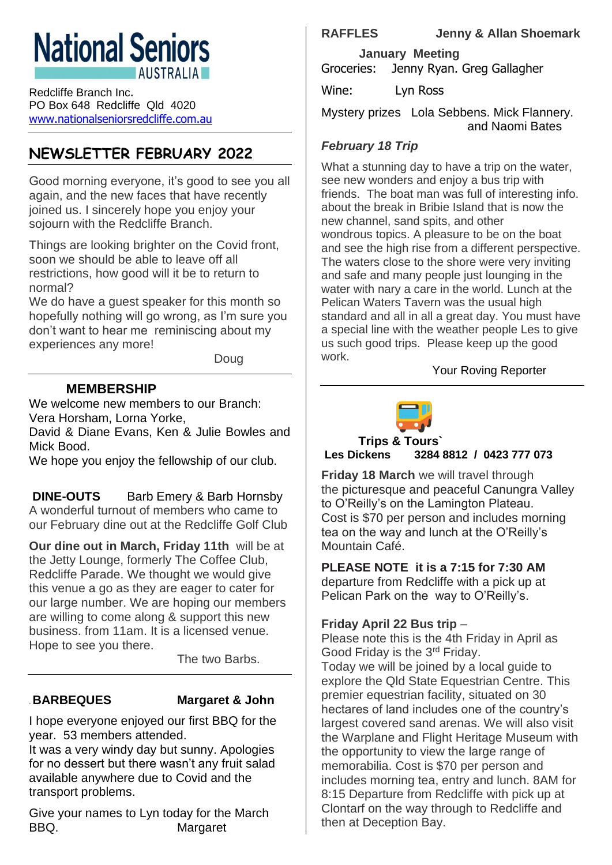# **National Seniors AUSTRALIA**

Redcliffe Branch Inc. PO Box 648 Redcliffe Qld 4020 [www.nationalseniorsredcliffe.com.au](http://www.nationalseniorsredcliffe.com.au/)

# **NEWSLETTER FEBRUARY 2022**

Good morning everyone, it's good to see you all again, and the new faces that have recently joined us. I sincerely hope you enjoy your sojourn with the Redcliffe Branch.

Things are looking brighter on the Covid front, soon we should be able to leave off all restrictions, how good will it be to return to normal?

We do have a quest speaker for this month so hopefully nothing will go wrong, as I'm sure you don't want to hear me reminiscing about my experiences any more!

Doug

## **MEMBERSHIP**

We welcome new members to our Branch: Vera Horsham, Lorna Yorke,

David & Diane Evans, Ken & Julie Bowles and Mick Bood.

We hope you enjoy the fellowship of our club.

**DINE-OUTS** Barb Emery & Barb Hornsby A wonderful turnout of members who came to our February dine out at the Redcliffe Golf Club

**Our dine out in March, Friday 11th** will be at the Jetty Lounge, formerly The Coffee Club, Redcliffe Parade. We thought we would give this venue a go as they are eager to cater for our large number. We are hoping our members are willing to come along & support this new business. from 11am. It is a licensed venue. Hope to see you there.

The two Barbs.

#### .**BARBEQUES Margaret & John**

I hope everyone enjoyed our first BBQ for the year. 53 members attended.

It was a very windy day but sunny. Apologies for no dessert but there wasn't any fruit salad available anywhere due to Covid and the transport problems.

Give your names to Lyn today for the March BBQ. Margaret

**RAFFLES Jenny & Allan Shoemark** 

 **January Meeting** Groceries: Jenny Ryan. Greg Gallagher

Wine: Lyn Ross

Mystery prizes Lola Sebbens. Mick Flannery. and Naomi Bates

#### *February 18 Trip*

What a stunning day to have a trip on the water, see new wonders and enjoy a bus trip with friends. The boat man was full of interesting info. about the break in Bribie Island that is now the new channel, sand spits, and other wondrous topics. A pleasure to be on the boat and see the high rise from a different perspective. The waters close to the shore were very inviting and safe and many people just lounging in the water with nary a care in the world. Lunch at the Pelican Waters Tavern was the usual high standard and all in all a great day. You must have a special line with the weather people Les to give us such good trips. Please keep up the good work.

#### Your Roving Reporter



**Trips & Tours` Les Dickens 3284 8812 / 0423 777 073**

**Friday 18 March** we will travel through the picturesque and peaceful Canungra Valley to O'Reilly's on the Lamington Plateau. Cost is \$70 per person and includes morning tea on the way and lunch at the O'Reilly's Mountain Café.

**PLEASE NOTE it is a 7:15 for 7:30 AM** departure from Redcliffe with a pick up at Pelican Park on the way to O'Reilly's.

### **Friday April 22 Bus trip** –

Please note this is the 4th Friday in April as Good Friday is the 3rd Friday.

Today we will be joined by a local guide to explore the Qld State Equestrian Centre. This premier equestrian facility, situated on 30 hectares of land includes one of the country's largest covered sand arenas. We will also visit the Warplane and Flight Heritage Museum with the opportunity to view the large range of memorabilia. Cost is \$70 per person and includes morning tea, entry and lunch. 8AM for 8:15 Departure from Redcliffe with pick up at Clontarf on the way through to Redcliffe and then at Deception Bay.